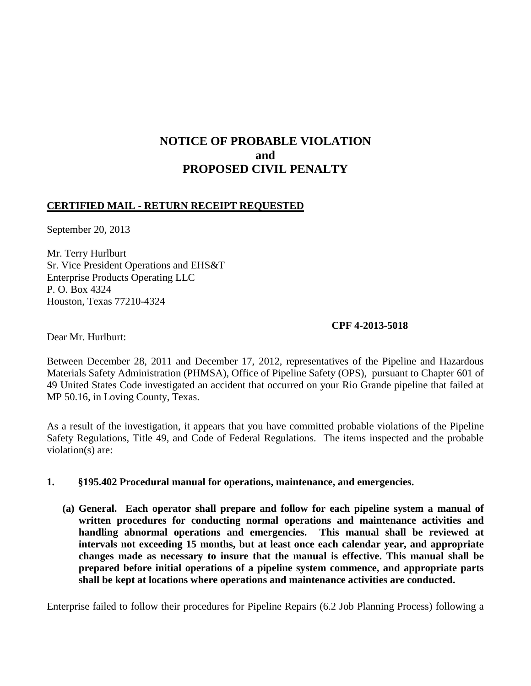# **NOTICE OF PROBABLE VIOLATION and PROPOSED CIVIL PENALTY**

## **CERTIFIED MAIL - RETURN RECEIPT REQUESTED**

September 20, 2013

Mr. Terry Hurlburt Sr. Vice President Operations and EHS&T Enterprise Products Operating LLC P. O. Box 4324 Houston, Texas 77210-4324

## **CPF 4-2013-5018**

Dear Mr. Hurlburt:

Between December 28, 2011 and December 17, 2012, representatives of the Pipeline and Hazardous Materials Safety Administration (PHMSA), Office of Pipeline Safety (OPS), pursuant to Chapter 601 of 49 United States Code investigated an accident that occurred on your Rio Grande pipeline that failed at MP 50.16, in Loving County, Texas.

As a result of the investigation, it appears that you have committed probable violations of the Pipeline Safety Regulations, Title 49, and Code of Federal Regulations. The items inspected and the probable violation(s) are:

## **1. §195.402 Procedural manual for operations, maintenance, and emergencies.**

**(a) General. Each operator shall prepare and follow for each pipeline system a manual of written procedures for conducting normal operations and maintenance activities and handling abnormal operations and emergencies. This manual shall be reviewed at intervals not exceeding 15 months, but at least once each calendar year, and appropriate changes made as necessary to insure that the manual is effective. This manual shall be prepared before initial operations of a pipeline system commence, and appropriate parts shall be kept at locations where operations and maintenance activities are conducted.** 

Enterprise failed to follow their procedures for Pipeline Repairs (6.2 Job Planning Process) following a